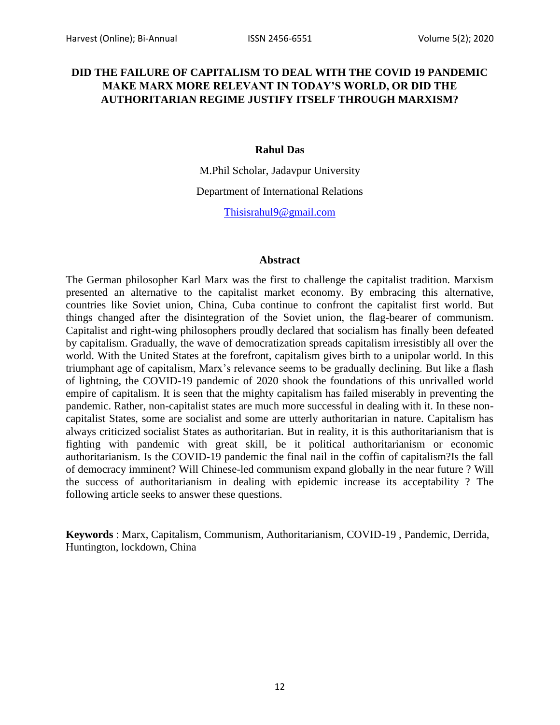## **DID THE FAILURE OF CAPITALISM TO DEAL WITH THE COVID 19 PANDEMIC MAKE MARX MORE RELEVANT IN TODAY'S WORLD, OR DID THE AUTHORITARIAN REGIME JUSTIFY ITSELF THROUGH MARXISM?**

## **Rahul Das**

M.Phil Scholar, Jadavpur University

Department of International Relations

[Thisisrahul9@gmail.com](mailto:Thisisrahul9@gmail.com)

## **Abstract**

The German philosopher Karl Marx was the first to challenge the capitalist tradition. Marxism presented an alternative to the capitalist market economy. By embracing this alternative, countries like Soviet union, China, Cuba continue to confront the capitalist first world. But things changed after the disintegration of the Soviet union, the flag-bearer of communism. Capitalist and right-wing philosophers proudly declared that socialism has finally been defeated by capitalism. Gradually, the wave of democratization spreads capitalism irresistibly all over the world. With the United States at the forefront, capitalism gives birth to a unipolar world. In this triumphant age of capitalism, Marx"s relevance seems to be gradually declining. But like a flash of lightning, the COVID-19 pandemic of 2020 shook the foundations of this unrivalled world empire of capitalism. It is seen that the mighty capitalism has failed miserably in preventing the pandemic. Rather, non-capitalist states are much more successful in dealing with it. In these noncapitalist States, some are socialist and some are utterly authoritarian in nature. Capitalism has always criticized socialist States as authoritarian. But in reality, it is this authoritarianism that is fighting with pandemic with great skill, be it political authoritarianism or economic authoritarianism. Is the COVID-19 pandemic the final nail in the coffin of capitalism?Is the fall of democracy imminent? Will Chinese-led communism expand globally in the near future ? Will the success of authoritarianism in dealing with epidemic increase its acceptability ? The following article seeks to answer these questions.

**Keywords** : Marx, Capitalism, Communism, Authoritarianism, COVID-19 , Pandemic, Derrida, Huntington, lockdown, China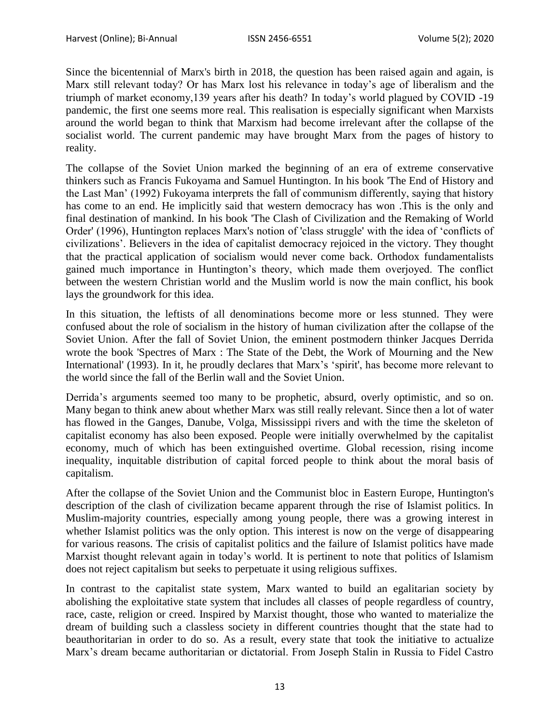Since the bicentennial of Marx's birth in 2018, the question has been raised again and again, is Marx still relevant today? Or has Marx lost his relevance in today"s age of liberalism and the triumph of market economy,139 years after his death? In today"s world plagued by COVID -19 pandemic, the first one seems more real. This realisation is especially significant when Marxists around the world began to think that Marxism had become irrelevant after the collapse of the socialist world. The current pandemic may have brought Marx from the pages of history to reality.

The collapse of the Soviet Union marked the beginning of an era of extreme conservative thinkers such as Francis Fukoyama and Samuel Huntington. In his book 'The End of History and the Last Man" (1992) Fukoyama interprets the fall of communism differently, saying that history has come to an end. He implicitly said that western democracy has won .This is the only and final destination of mankind. In his book 'The Clash of Civilization and the Remaking of World Order' (1996), Huntington replaces Marx's notion of 'class struggle' with the idea of "conflicts of civilizations". Believers in the idea of capitalist democracy rejoiced in the victory. They thought that the practical application of socialism would never come back. Orthodox fundamentalists gained much importance in Huntington"s theory, which made them overjoyed. The conflict between the western Christian world and the Muslim world is now the main conflict, his book lays the groundwork for this idea.

In this situation, the leftists of all denominations become more or less stunned. They were confused about the role of socialism in the history of human civilization after the collapse of the Soviet Union. After the fall of Soviet Union, the eminent postmodern thinker Jacques Derrida wrote the book 'Spectres of Marx : The State of the Debt, the Work of Mourning and the New International' (1993). In it, he proudly declares that Marx's 'spirit', has become more relevant to the world since the fall of the Berlin wall and the Soviet Union.

Derrida"s arguments seemed too many to be prophetic, absurd, overly optimistic, and so on. Many began to think anew about whether Marx was still really relevant. Since then a lot of water has flowed in the Ganges, Danube, Volga, Mississippi rivers and with the time the skeleton of capitalist economy has also been exposed. People were initially overwhelmed by the capitalist economy, much of which has been extinguished overtime. Global recession, rising income inequality, inquitable distribution of capital forced people to think about the moral basis of capitalism.

After the collapse of the Soviet Union and the Communist bloc in Eastern Europe, Huntington's description of the clash of civilization became apparent through the rise of Islamist politics. In Muslim-majority countries, especially among young people, there was a growing interest in whether Islamist politics was the only option. This interest is now on the verge of disappearing for various reasons. The crisis of capitalist politics and the failure of Islamist politics have made Marxist thought relevant again in today"s world. It is pertinent to note that politics of Islamism does not reject capitalism but seeks to perpetuate it using religious suffixes.

In contrast to the capitalist state system, Marx wanted to build an egalitarian society by abolishing the exploitative state system that includes all classes of people regardless of country, race, caste, religion or creed. Inspired by Marxist thought, those who wanted to materialize the dream of building such a classless society in different countries thought that the state had to beauthoritarian in order to do so. As a result, every state that took the initiative to actualize Marx"s dream became authoritarian or dictatorial. From Joseph Stalin in Russia to Fidel Castro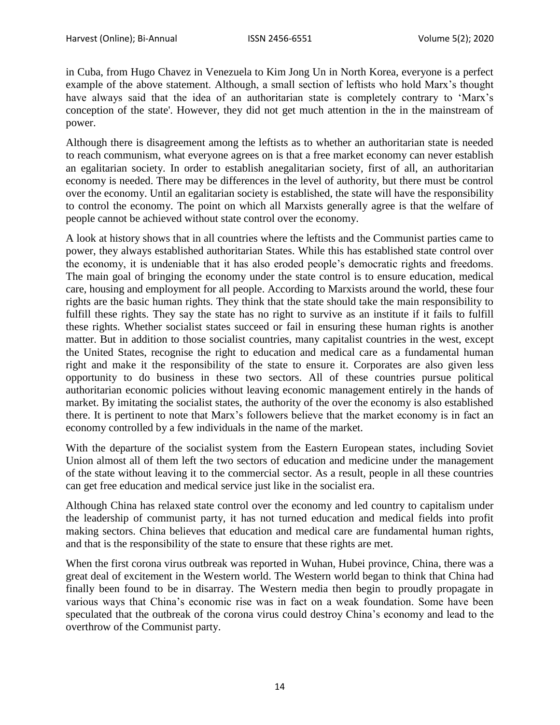in Cuba, from Hugo Chavez in Venezuela to Kim Jong Un in North Korea, everyone is a perfect example of the above statement. Although, a small section of leftists who hold Marx"s thought have always said that the idea of an authoritarian state is completely contrary to 'Marx's conception of the state'. However, they did not get much attention in the in the mainstream of power.

Although there is disagreement among the leftists as to whether an authoritarian state is needed to reach communism, what everyone agrees on is that a free market economy can never establish an egalitarian society. In order to establish anegalitarian society, first of all, an authoritarian economy is needed. There may be differences in the level of authority, but there must be control over the economy. Until an egalitarian society is established, the state will have the responsibility to control the economy. The point on which all Marxists generally agree is that the welfare of people cannot be achieved without state control over the economy.

A look at history shows that in all countries where the leftists and the Communist parties came to power, they always established authoritarian States. While this has established state control over the economy, it is undeniable that it has also eroded people"s democratic rights and freedoms. The main goal of bringing the economy under the state control is to ensure education, medical care, housing and employment for all people. According to Marxists around the world, these four rights are the basic human rights. They think that the state should take the main responsibility to fulfill these rights. They say the state has no right to survive as an institute if it fails to fulfill these rights. Whether socialist states succeed or fail in ensuring these human rights is another matter. But in addition to those socialist countries, many capitalist countries in the west, except the United States, recognise the right to education and medical care as a fundamental human right and make it the responsibility of the state to ensure it. Corporates are also given less opportunity to do business in these two sectors. All of these countries pursue political authoritarian economic policies without leaving economic management entirely in the hands of market. By imitating the socialist states, the authority of the over the economy is also established there. It is pertinent to note that Marx"s followers believe that the market economy is in fact an economy controlled by a few individuals in the name of the market.

With the departure of the socialist system from the Eastern European states, including Soviet Union almost all of them left the two sectors of education and medicine under the management of the state without leaving it to the commercial sector. As a result, people in all these countries can get free education and medical service just like in the socialist era.

Although China has relaxed state control over the economy and led country to capitalism under the leadership of communist party, it has not turned education and medical fields into profit making sectors. China believes that education and medical care are fundamental human rights, and that is the responsibility of the state to ensure that these rights are met.

When the first corona virus outbreak was reported in Wuhan, Hubei province, China, there was a great deal of excitement in the Western world. The Western world began to think that China had finally been found to be in disarray. The Western media then begin to proudly propagate in various ways that China"s economic rise was in fact on a weak foundation. Some have been speculated that the outbreak of the corona virus could destroy China"s economy and lead to the overthrow of the Communist party.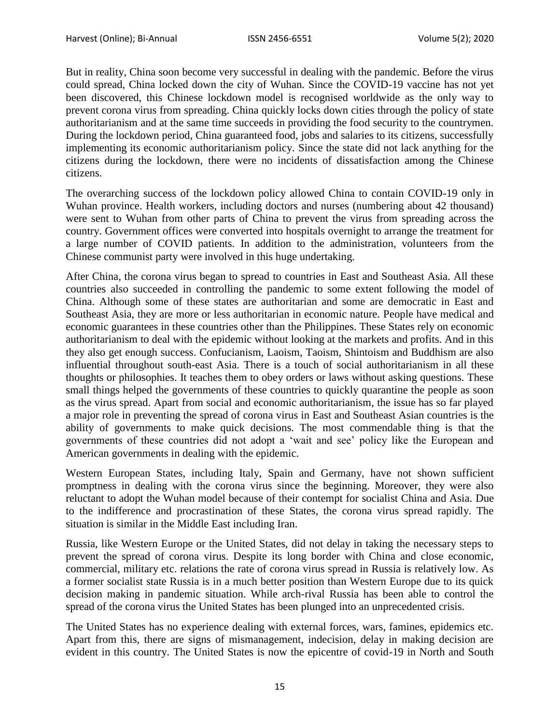But in reality, China soon become very successful in dealing with the pandemic. Before the virus could spread, China locked down the city of Wuhan. Since the COVID-19 vaccine has not yet been discovered, this Chinese lockdown model is recognised worldwide as the only way to prevent corona virus from spreading. China quickly locks down cities through the policy of state authoritarianism and at the same time succeeds in providing the food security to the countrymen. During the lockdown period, China guaranteed food, jobs and salaries to its citizens, successfully implementing its economic authoritarianism policy. Since the state did not lack anything for the citizens during the lockdown, there were no incidents of dissatisfaction among the Chinese citizens.

The overarching success of the lockdown policy allowed China to contain COVID-19 only in Wuhan province. Health workers, including doctors and nurses (numbering about 42 thousand) were sent to Wuhan from other parts of China to prevent the virus from spreading across the country. Government offices were converted into hospitals overnight to arrange the treatment for a large number of COVID patients. In addition to the administration, volunteers from the Chinese communist party were involved in this huge undertaking.

After China, the corona virus began to spread to countries in East and Southeast Asia. All these countries also succeeded in controlling the pandemic to some extent following the model of China. Although some of these states are authoritarian and some are democratic in East and Southeast Asia, they are more or less authoritarian in economic nature. People have medical and economic guarantees in these countries other than the Philippines. These States rely on economic authoritarianism to deal with the epidemic without looking at the markets and profits. And in this they also get enough success. Confucianism, Laoism, Taoism, Shintoism and Buddhism are also influential throughout south-east Asia. There is a touch of social authoritarianism in all these thoughts or philosophies. It teaches them to obey orders or laws without asking questions. These small things helped the governments of these countries to quickly quarantine the people as soon as the virus spread. Apart from social and economic authoritarianism, the issue has so far played a major role in preventing the spread of corona virus in East and Southeast Asian countries is the ability of governments to make quick decisions. The most commendable thing is that the governments of these countries did not adopt a "wait and see" policy like the European and American governments in dealing with the epidemic.

Western European States, including Italy, Spain and Germany, have not shown sufficient promptness in dealing with the corona virus since the beginning. Moreover, they were also reluctant to adopt the Wuhan model because of their contempt for socialist China and Asia. Due to the indifference and procrastination of these States, the corona virus spread rapidly. The situation is similar in the Middle East including Iran.

Russia, like Western Europe or the United States, did not delay in taking the necessary steps to prevent the spread of corona virus. Despite its long border with China and close economic, commercial, military etc. relations the rate of corona virus spread in Russia is relatively low. As a former socialist state Russia is in a much better position than Western Europe due to its quick decision making in pandemic situation. While arch-rival Russia has been able to control the spread of the corona virus the United States has been plunged into an unprecedented crisis.

The United States has no experience dealing with external forces, wars, famines, epidemics etc. Apart from this, there are signs of mismanagement, indecision, delay in making decision are evident in this country. The United States is now the epicentre of covid-19 in North and South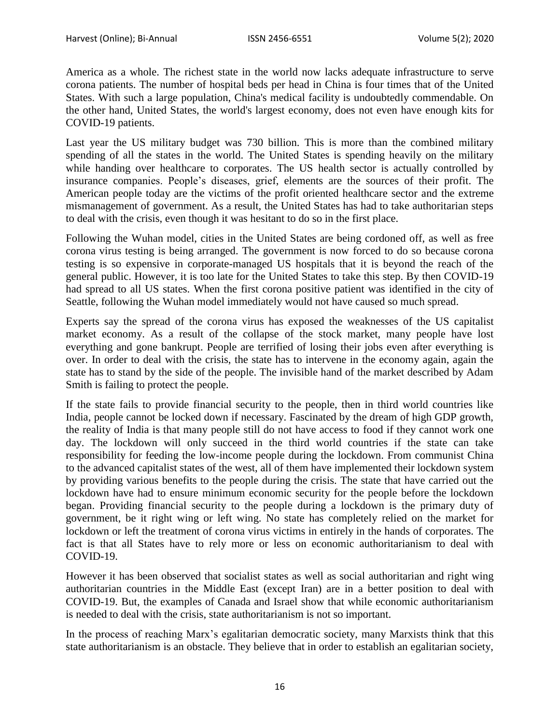America as a whole. The richest state in the world now lacks adequate infrastructure to serve corona patients. The number of hospital beds per head in China is four times that of the United States. With such a large population, China's medical facility is undoubtedly commendable. On the other hand, United States, the world's largest economy, does not even have enough kits for COVID-19 patients.

Last year the US military budget was 730 billion. This is more than the combined military spending of all the states in the world. The United States is spending heavily on the military while handing over healthcare to corporates. The US health sector is actually controlled by insurance companies. People"s diseases, grief, elements are the sources of their profit. The American people today are the victims of the profit oriented healthcare sector and the extreme mismanagement of government. As a result, the United States has had to take authoritarian steps to deal with the crisis, even though it was hesitant to do so in the first place.

Following the Wuhan model, cities in the United States are being cordoned off, as well as free corona virus testing is being arranged. The government is now forced to do so because corona testing is so expensive in corporate-managed US hospitals that it is beyond the reach of the general public. However, it is too late for the United States to take this step. By then COVID-19 had spread to all US states. When the first corona positive patient was identified in the city of Seattle, following the Wuhan model immediately would not have caused so much spread.

Experts say the spread of the corona virus has exposed the weaknesses of the US capitalist market economy. As a result of the collapse of the stock market, many people have lost everything and gone bankrupt. People are terrified of losing their jobs even after everything is over. In order to deal with the crisis, the state has to intervene in the economy again, again the state has to stand by the side of the people. The invisible hand of the market described by Adam Smith is failing to protect the people.

If the state fails to provide financial security to the people, then in third world countries like India, people cannot be locked down if necessary. Fascinated by the dream of high GDP growth, the reality of India is that many people still do not have access to food if they cannot work one day. The lockdown will only succeed in the third world countries if the state can take responsibility for feeding the low-income people during the lockdown. From communist China to the advanced capitalist states of the west, all of them have implemented their lockdown system by providing various benefits to the people during the crisis. The state that have carried out the lockdown have had to ensure minimum economic security for the people before the lockdown began. Providing financial security to the people during a lockdown is the primary duty of government, be it right wing or left wing. No state has completely relied on the market for lockdown or left the treatment of corona virus victims in entirely in the hands of corporates. The fact is that all States have to rely more or less on economic authoritarianism to deal with COVID-19.

However it has been observed that socialist states as well as social authoritarian and right wing authoritarian countries in the Middle East (except Iran) are in a better position to deal with COVID-19. But, the examples of Canada and Israel show that while economic authoritarianism is needed to deal with the crisis, state authoritarianism is not so important.

In the process of reaching Marx"s egalitarian democratic society, many Marxists think that this state authoritarianism is an obstacle. They believe that in order to establish an egalitarian society,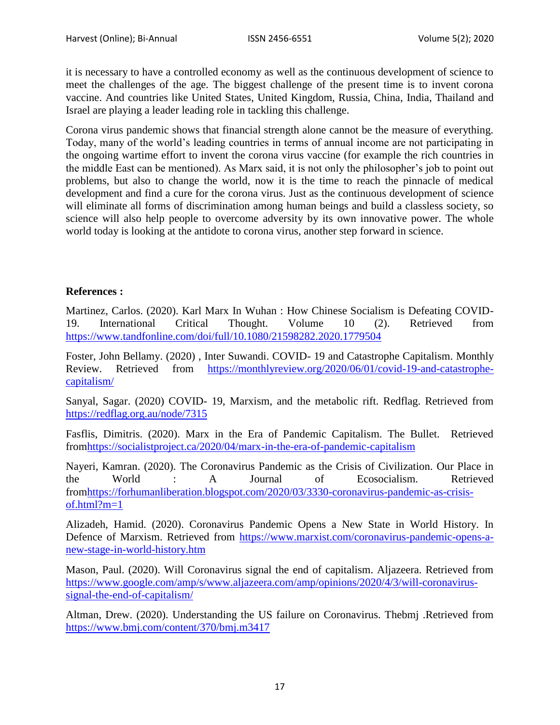it is necessary to have a controlled economy as well as the continuous development of science to meet the challenges of the age. The biggest challenge of the present time is to invent corona vaccine. And countries like United States, United Kingdom, Russia, China, India, Thailand and Israel are playing a leader leading role in tackling this challenge.

Corona virus pandemic shows that financial strength alone cannot be the measure of everything. Today, many of the world"s leading countries in terms of annual income are not participating in the ongoing wartime effort to invent the corona virus vaccine (for example the rich countries in the middle East can be mentioned). As Marx said, it is not only the philosopher"s job to point out problems, but also to change the world, now it is the time to reach the pinnacle of medical development and find a cure for the corona virus. Just as the continuous development of science will eliminate all forms of discrimination among human beings and build a classless society, so science will also help people to overcome adversity by its own innovative power. The whole world today is looking at the antidote to corona virus, another step forward in science.

## **References :**

Martinez, Carlos. (2020). Karl Marx In Wuhan : How Chinese Socialism is Defeating COVID-19. International Critical Thought. Volume 10 (2). Retrieved from <https://www.tandfonline.com/doi/full/10.1080/21598282.2020.1779504>

Foster, John Bellamy. (2020) , Inter Suwandi. COVID- 19 and Catastrophe Capitalism. Monthly Review. Retrieved from [https://monthlyreview.org/2020/06/01/covid-19-and-catastrophe](https://monthlyreview.org/2020/06/01/covid-19-and-catastrophe-capitalism/)[capitalism/](https://monthlyreview.org/2020/06/01/covid-19-and-catastrophe-capitalism/)

Sanyal, Sagar. (2020) COVID- 19, Marxism, and the metabolic rift. Redflag. Retrieved from <https://redflag.org.au/node/7315>

Fasflis, Dimitris. (2020). Marx in the Era of Pandemic Capitalism. The Bullet. Retrieved fro[mhttps://socialistproject.ca/2020/04/marx-in-the-era-of-pandemic-capitalism](https://socialistproject.ca/2020/04/marx-in-the-era-of-pandemic-capitalism)

Nayeri, Kamran. (2020). The Coronavirus Pandemic as the Crisis of Civilization. Our Place in the World : A Journal of Ecosocialism. Retrieved fro[mhttps://forhumanliberation.blogspot.com/2020/03/3330-coronavirus-pandemic-as-crisis](https://forhumanliberation.blogspot.com/2020/03/3330-coronavirus-pandemic-as-crisis-of.html?m=1)[of.html?m=1](https://forhumanliberation.blogspot.com/2020/03/3330-coronavirus-pandemic-as-crisis-of.html?m=1)

Alizadeh, Hamid. (2020). Coronavirus Pandemic Opens a New State in World History. In Defence of Marxism. Retrieved from [https://www.marxist.com/coronavirus-pandemic-opens-a](https://www.marxist.com/coronavirus-pandemic-opens-a-new-stage-in-world-history.htm)[new-stage-in-world-history.htm](https://www.marxist.com/coronavirus-pandemic-opens-a-new-stage-in-world-history.htm)

Mason, Paul. (2020). Will Coronavirus signal the end of capitalism. Aljazeera. Retrieved from [https://www.google.com/amp/s/www.aljazeera.com/amp/opinions/2020/4/3/will-coronavirus](https://www.google.com/amp/s/www.aljazeera.com/amp/opinions/2020/4/3/will-coronavirus-signal-the-end-of-capitalism/)[signal-the-end-of-capitalism/](https://www.google.com/amp/s/www.aljazeera.com/amp/opinions/2020/4/3/will-coronavirus-signal-the-end-of-capitalism/)

Altman, Drew. (2020). Understanding the US failure on Coronavirus. Thebmj .Retrieved from <https://www.bmj.com/content/370/bmj.m3417>